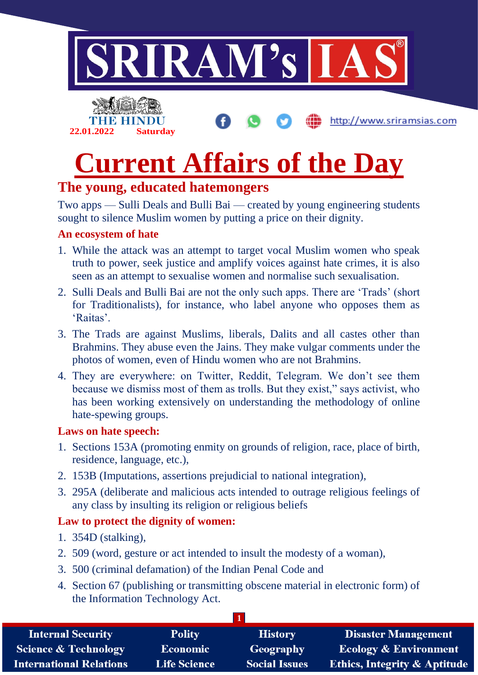

http://www.sriramsias.com



# **Current Affairs of the Day**

## **The young, educated hatemongers**

Two apps — Sulli Deals and Bulli Bai — created by young engineering students sought to silence Muslim women by putting a price on their dignity.

### **An ecosystem of hate**

- 1. While the attack was an attempt to target vocal Muslim women who speak truth to power, seek justice and amplify voices against hate crimes, it is also seen as an attempt to sexualise women and normalise such sexualisation.
- 2. Sulli Deals and Bulli Bai are not the only such apps. There are 'Trads' (short for Traditionalists), for instance, who label anyone who opposes them as 'Raitas'.
- 3. The Trads are against Muslims, liberals, Dalits and all castes other than Brahmins. They abuse even the Jains. They make vulgar comments under the photos of women, even of Hindu women who are not Brahmins.
- 4. They are everywhere: on Twitter, Reddit, Telegram. We don't see them because we dismiss most of them as trolls. But they exist," says activist, who has been working extensively on understanding the methodology of online hate-spewing groups.

### **Laws on hate speech:**

- 1. Sections 153A (promoting enmity on grounds of religion, race, place of birth, residence, language, etc.),
- 2. 153B (Imputations, assertions prejudicial to national integration),
- 3. 295A (deliberate and malicious acts intended to outrage religious feelings of any class by insulting its religion or religious beliefs

### **Law to protect the dignity of women:**

- 1. 354D (stalking),
- 2. 509 (word, gesture or act intended to insult the modesty of a woman),
- 3. 500 (criminal defamation) of the Indian Penal Code and
- 4. Section 67 (publishing or transmitting obscene material in electronic form) of the Information Technology Act.

| <b>Internal Security</b>        | <b>Polity</b>       | <b>History</b>       | <b>Disaster Management</b>              |
|---------------------------------|---------------------|----------------------|-----------------------------------------|
| <b>Science &amp; Technology</b> | <b>Economic</b>     | Geography            | <b>Ecology &amp; Environment</b>        |
| <b>International Relations</b>  | <b>Life Science</b> | <b>Social Issues</b> | <b>Ethics, Integrity &amp; Aptitude</b> |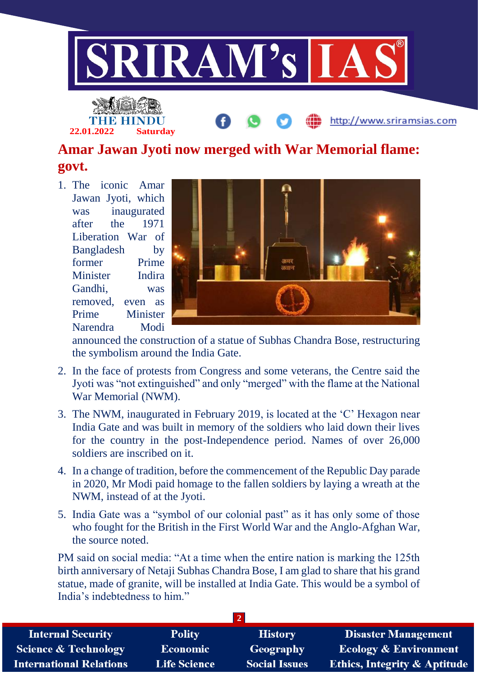

# **Amar Jawan Jyoti now merged with War Memorial flame: govt.**

1. The iconic Amar Jawan Jyoti, which was inaugurated after the 1971 Liberation War of Bangladesh by former Prime Minister Indira Gandhi, was removed, even as Prime Minister Narendra Modi

**22.01.2022 Saturday**



http://www.sriramsias.com

announced the construction of a statue of Subhas Chandra Bose, restructuring the symbolism around the India Gate.

- 2. In the face of protests from Congress and some veterans, the Centre said the Jyoti was "not extinguished" and only "merged" with the flame at the National War Memorial (NWM).
- 3. The NWM, inaugurated in February 2019, is located at the 'C' Hexagon near India Gate and was built in memory of the soldiers who laid down their lives for the country in the post-Independence period. Names of over 26,000 soldiers are inscribed on it.
- 4. In a change of tradition, before the commencement of the Republic Day parade in 2020, Mr Modi paid homage to the fallen soldiers by laying a wreath at the NWM, instead of at the Jyoti.
- 5. India Gate was a "symbol of our colonial past" as it has only some of those who fought for the British in the First World War and the Anglo-Afghan War, the source noted

PM said on social media: "At a time when the entire nation is marking the 125th birth anniversary of Netaji Subhas Chandra Bose, I am glad to share that his grand statue, made of granite, will be installed at India Gate. This would be a symbol of India's indebtedness to him."

| <b>Internal Security</b>        | <b>Polity</b>       | <b>History</b>       | <b>Disaster Management</b>              |
|---------------------------------|---------------------|----------------------|-----------------------------------------|
| <b>Science &amp; Technology</b> | <b>Economic</b>     | <b>Geography</b>     | <b>Ecology &amp; Environment</b>        |
| <b>International Relations</b>  | <b>Life Science</b> | <b>Social Issues</b> | <b>Ethics, Integrity &amp; Aptitude</b> |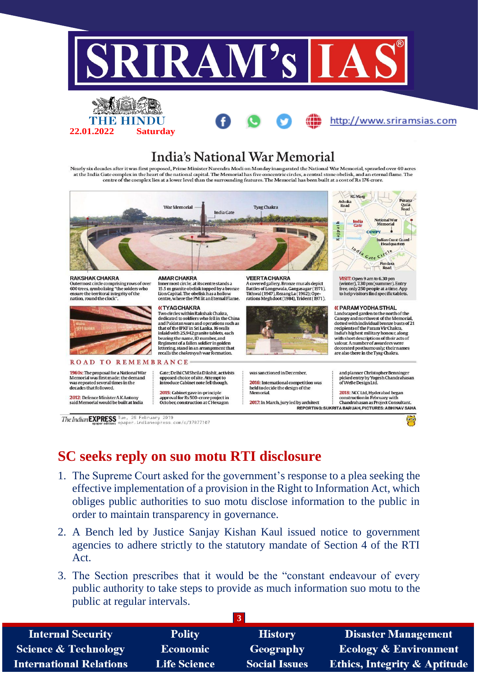

http://www.sriramsias.com



Nearly six decades after it was first proposed, Prime Minister Narendra Modi on Monday inaugurated the National War Memorial, sprawled over 40 acres at the India Gate complex in the heart of the national capital. The Memorial has five concentric circles, a central stone obelisk, and an eternal flame. The centre of the complex lies at a lower level than the surrounding



The Indian EXPRESS Tue, 26 February 2019<br>The Indian Expansions epaper.indianexpress.com/c/37077107

**22.01.2022 Saturday**

### **SC seeks reply on suo motu RTI disclosure**

- 1. The Supreme Court asked for the government's response to a plea seeking the effective implementation of a provision in the Right to Information Act, which obliges public authorities to suo motu disclose information to the public in order to maintain transparency in governance.
- 2. A Bench led by Justice Sanjay Kishan Kaul issued notice to government agencies to adhere strictly to the statutory mandate of Section 4 of the RTI Act.
- 3. The Section prescribes that it would be the "constant endeavour of every public authority to take steps to provide as much information suo motu to the public at regular intervals.

| <b>Internal Security</b>        | <b>Polity</b>       | <b>History</b>       | <b>Disaster Management</b>              |
|---------------------------------|---------------------|----------------------|-----------------------------------------|
| <b>Science &amp; Technology</b> | <b>Economic</b>     | Geography            | <b>Ecology &amp; Environment</b>        |
| <b>International Relations</b>  | <b>Life Science</b> | <b>Social Issues</b> | <b>Ethics, Integrity &amp; Aptitude</b> |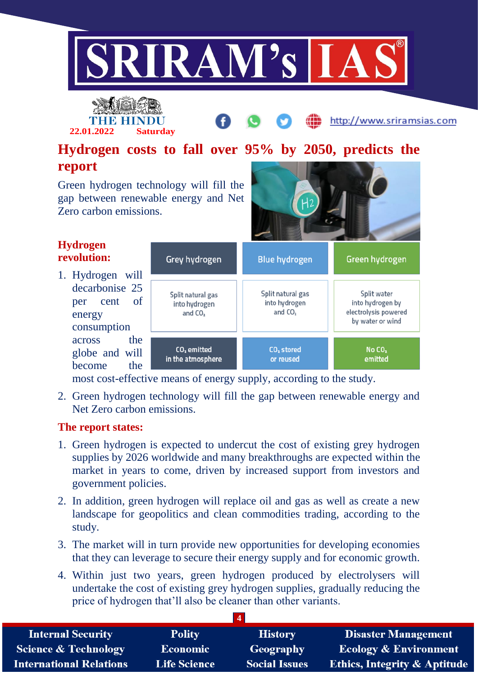



http://www.sriramsias.com

# **Hydrogen costs to fall over 95% by 2050, predicts the report**

Green hydrogen technology will fill the gap between renewable energy and Net Zero carbon emissions.



| <b>Hydrogen</b><br>revolution:                                                     | Grey hydrogen                                   | <b>Blue hydrogen</b>                                      | Green hydrogen                                                              |
|------------------------------------------------------------------------------------|-------------------------------------------------|-----------------------------------------------------------|-----------------------------------------------------------------------------|
| 1. Hydrogen will<br>decarbonise 25<br>- of<br>cent<br>per<br>energy<br>consumption | Split natural gas<br>into hydrogen<br>and $CO2$ | Split natural gas<br>into hydrogen<br>and CO <sub>2</sub> | Split water<br>into hydrogen by<br>electrolysis powered<br>by water or wind |
| the<br>across<br>globe and will<br>become<br>the                                   | CO <sub>2</sub> emitted<br>in the atmosphere    | CO <sub>2</sub> stored<br>or reused                       | No CO <sub>2</sub><br>emitted                                               |

most cost-effective means of energy supply, according to the study.

2. Green hydrogen technology will fill the gap between renewable energy and Net Zero carbon emissions.

### **The report states:**

- 1. Green hydrogen is expected to undercut the cost of existing grey hydrogen supplies by 2026 worldwide and many breakthroughs are expected within the market in years to come, driven by increased support from investors and government policies.
- 2. In addition, green hydrogen will replace oil and gas as well as create a new landscape for geopolitics and clean commodities trading, according to the study.
- 3. The market will in turn provide new opportunities for developing economies that they can leverage to secure their energy supply and for economic growth.
- 4. Within just two years, green hydrogen produced by electrolysers will undertake the cost of existing grey hydrogen supplies, gradually reducing the price of hydrogen that'll also be cleaner than other variants.

|                                 |                     | $\overline{\mathbf{4}}$ |                                         |
|---------------------------------|---------------------|-------------------------|-----------------------------------------|
| <b>Internal Security</b>        | <b>Polity</b>       | <b>History</b>          | Disaster Management                     |
| <b>Science &amp; Technology</b> | Economic            | Geography               | <b>Ecology &amp; Environment</b>        |
| <b>International Relations</b>  | <b>Life Science</b> | <b>Social Issues</b>    | <b>Ethics, Integrity &amp; Aptitude</b> |